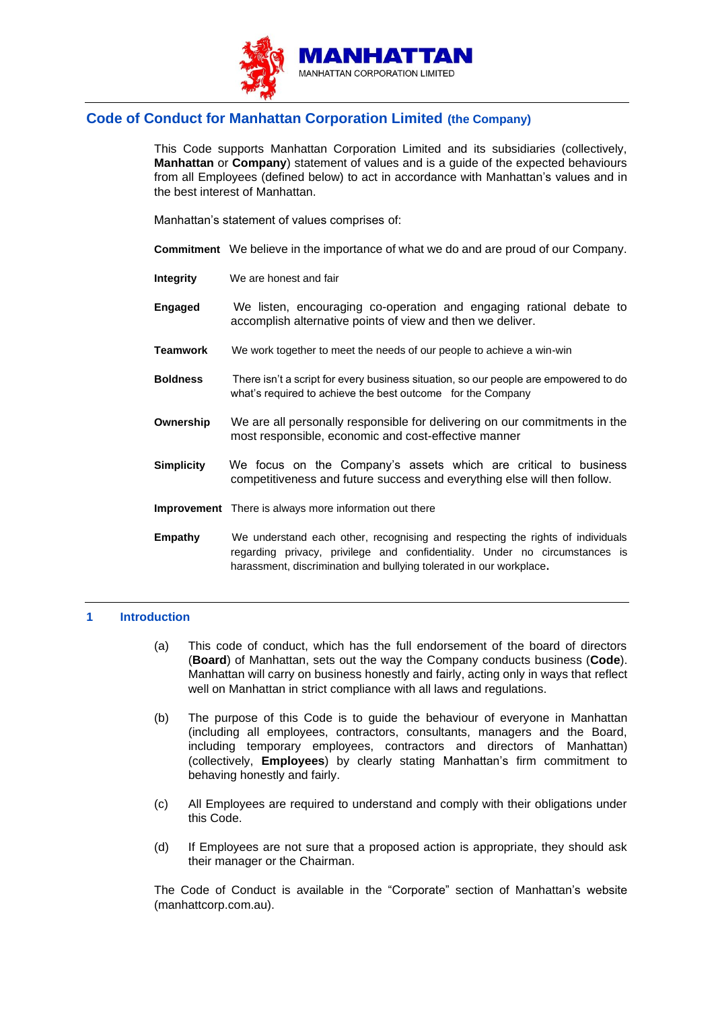

# **Code of Conduct for Manhattan Corporation Limited (the Company)**

This Code supports Manhattan Corporation Limited and its subsidiaries (collectively, **Manhattan** or **Company**) statement of values and is a guide of the expected behaviours from all Employees (defined below) to act in accordance with Manhattan's values and in the best interest of Manhattan.

Manhattan's statement of values comprises of:

- **Commitment** We believe in the importance of what we do and are proud of our Company.
- **Integrity** We are honest and fair
- **Engaged** We listen, encouraging co-operation and engaging rational debate to accomplish alternative points of view and then we deliver.
- **Teamwork** We work together to meet the needs of our people to achieve a win-win
- **Boldness** There isn't a script for every business situation, so our people are empowered to do what's required to achieve the best outcome for the Company
- **Ownership** We are all personally responsible for delivering on our commitments in the most responsible, economic and cost-effective manner
- **Simplicity** We focus on the Company's assets which are critical to business competitiveness and future success and everything else will then follow.
- **Improvement** There is always more information out there
- **Empathy** We understand each other, recognising and respecting the rights of individuals regarding privacy, privilege and confidentiality. Under no circumstances is harassment, discrimination and bullying tolerated in our workplace**.**

# **1 Introduction**

- (a) This code of conduct, which has the full endorsement of the board of directors (**Board**) of Manhattan, sets out the way the Company conducts business (**Code**). Manhattan will carry on business honestly and fairly, acting only in ways that reflect well on Manhattan in strict compliance with all laws and regulations.
- (b) The purpose of this Code is to guide the behaviour of everyone in Manhattan (including all employees, contractors, consultants, managers and the Board, including temporary employees, contractors and directors of Manhattan) (collectively, **Employees**) by clearly stating Manhattan's firm commitment to behaving honestly and fairly.
- (c) All Employees are required to understand and comply with their obligations under this Code.
- (d) If Employees are not sure that a proposed action is appropriate, they should ask their manager or the Chairman.

The Code of Conduct is available in the "Corporate" section of Manhattan's website (manhattcorp.com.au).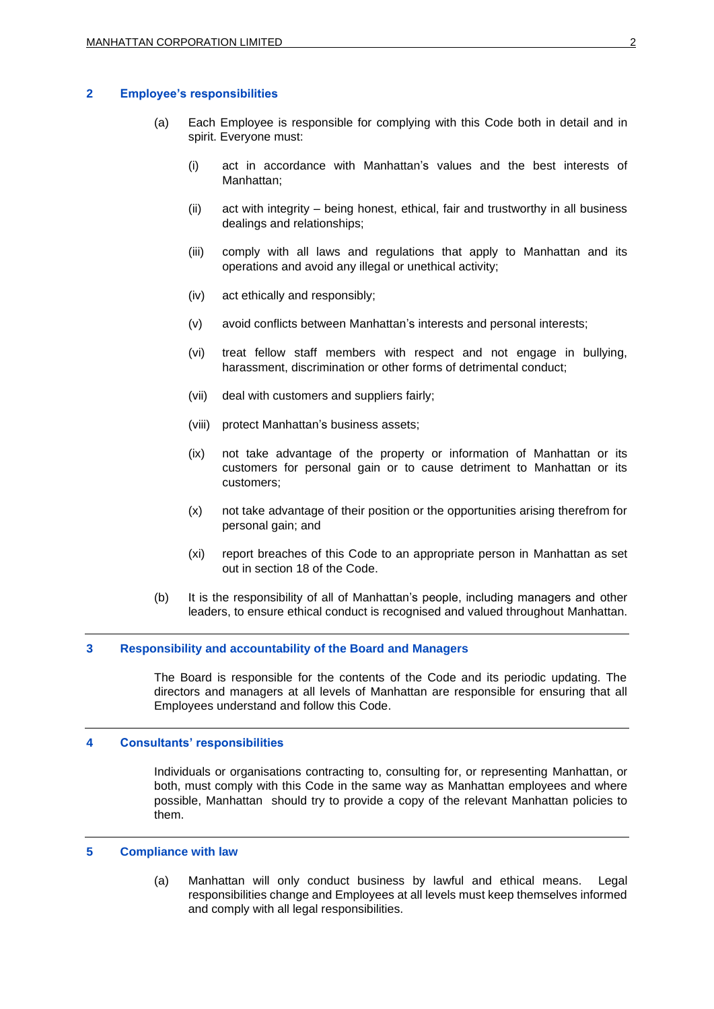## **2 Employee's responsibilities**

- (a) Each Employee is responsible for complying with this Code both in detail and in spirit. Everyone must:
	- (i) act in accordance with Manhattan's values and the best interests of Manhattan;
	- (ii) act with integrity being honest, ethical, fair and trustworthy in all business dealings and relationships;
	- (iii) comply with all laws and regulations that apply to Manhattan and its operations and avoid any illegal or unethical activity;
	- (iv) act ethically and responsibly;
	- (v) avoid conflicts between Manhattan's interests and personal interests;
	- (vi) treat fellow staff members with respect and not engage in bullying, harassment, discrimination or other forms of detrimental conduct;
	- (vii) deal with customers and suppliers fairly;
	- (viii) protect Manhattan's business assets;
	- (ix) not take advantage of the property or information of Manhattan or its customers for personal gain or to cause detriment to Manhattan or its customers;
	- (x) not take advantage of their position or the opportunities arising therefrom for personal gain; and
	- (xi) report breaches of this Code to an appropriate person in Manhattan as set out in section 18 of the Code.
- (b) It is the responsibility of all of Manhattan's people, including managers and other leaders, to ensure ethical conduct is recognised and valued throughout Manhattan.

# **3 Responsibility and accountability of the Board and Managers**

The Board is responsible for the contents of the Code and its periodic updating. The directors and managers at all levels of Manhattan are responsible for ensuring that all Employees understand and follow this Code.

## **4 Consultants' responsibilities**

Individuals or organisations contracting to, consulting for, or representing Manhattan, or both, must comply with this Code in the same way as Manhattan employees and where possible, Manhattan should try to provide a copy of the relevant Manhattan policies to them.

## **5 Compliance with law**

(a) Manhattan will only conduct business by lawful and ethical means. Legal responsibilities change and Employees at all levels must keep themselves informed and comply with all legal responsibilities.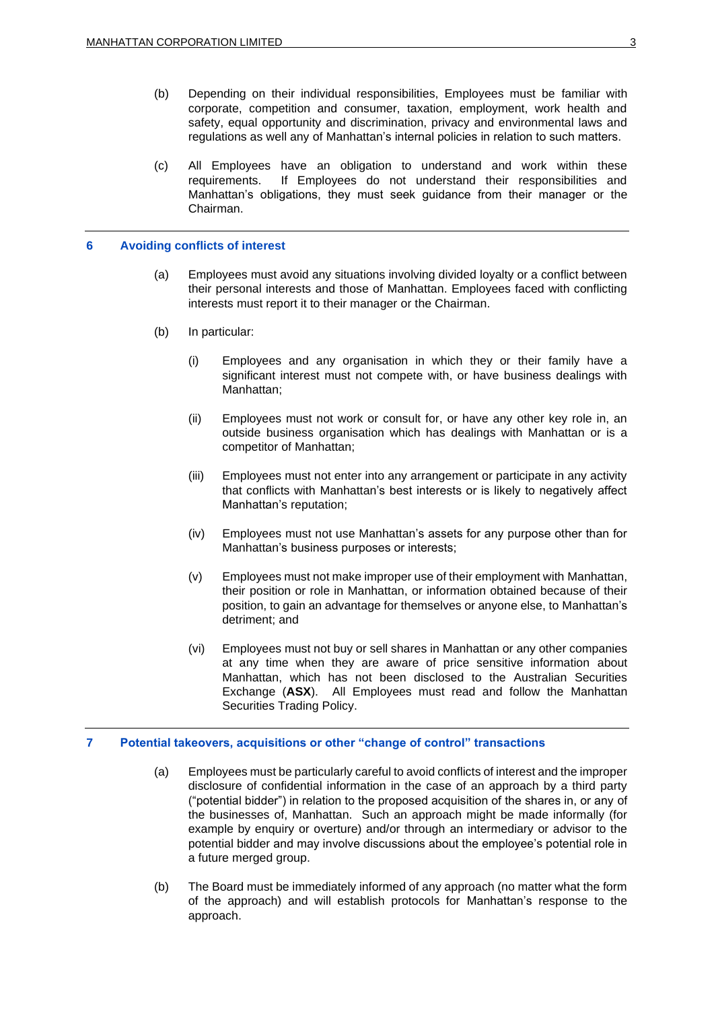- (b) Depending on their individual responsibilities, Employees must be familiar with corporate, competition and consumer, taxation, employment, work health and safety, equal opportunity and discrimination, privacy and environmental laws and regulations as well any of Manhattan's internal policies in relation to such matters.
- (c) All Employees have an obligation to understand and work within these requirements. If Employees do not understand their responsibilities and Manhattan's obligations, they must seek guidance from their manager or the Chairman.

## **6 Avoiding conflicts of interest**

- (a) Employees must avoid any situations involving divided loyalty or a conflict between their personal interests and those of Manhattan. Employees faced with conflicting interests must report it to their manager or the Chairman.
- (b) In particular:
	- (i) Employees and any organisation in which they or their family have a significant interest must not compete with, or have business dealings with Manhattan;
	- (ii) Employees must not work or consult for, or have any other key role in, an outside business organisation which has dealings with Manhattan or is a competitor of Manhattan;
	- (iii) Employees must not enter into any arrangement or participate in any activity that conflicts with Manhattan's best interests or is likely to negatively affect Manhattan's reputation;
	- (iv) Employees must not use Manhattan's assets for any purpose other than for Manhattan's business purposes or interests;
	- (v) Employees must not make improper use of their employment with Manhattan, their position or role in Manhattan, or information obtained because of their position, to gain an advantage for themselves or anyone else, to Manhattan's detriment; and
	- (vi) Employees must not buy or sell shares in Manhattan or any other companies at any time when they are aware of price sensitive information about Manhattan, which has not been disclosed to the Australian Securities Exchange (**ASX**). All Employees must read and follow the Manhattan Securities Trading Policy.

## **7 Potential takeovers, acquisitions or other "change of control" transactions**

- (a) Employees must be particularly careful to avoid conflicts of interest and the improper disclosure of confidential information in the case of an approach by a third party ("potential bidder") in relation to the proposed acquisition of the shares in, or any of the businesses of, Manhattan. Such an approach might be made informally (for example by enquiry or overture) and/or through an intermediary or advisor to the potential bidder and may involve discussions about the employee's potential role in a future merged group.
- (b) The Board must be immediately informed of any approach (no matter what the form of the approach) and will establish protocols for Manhattan's response to the approach.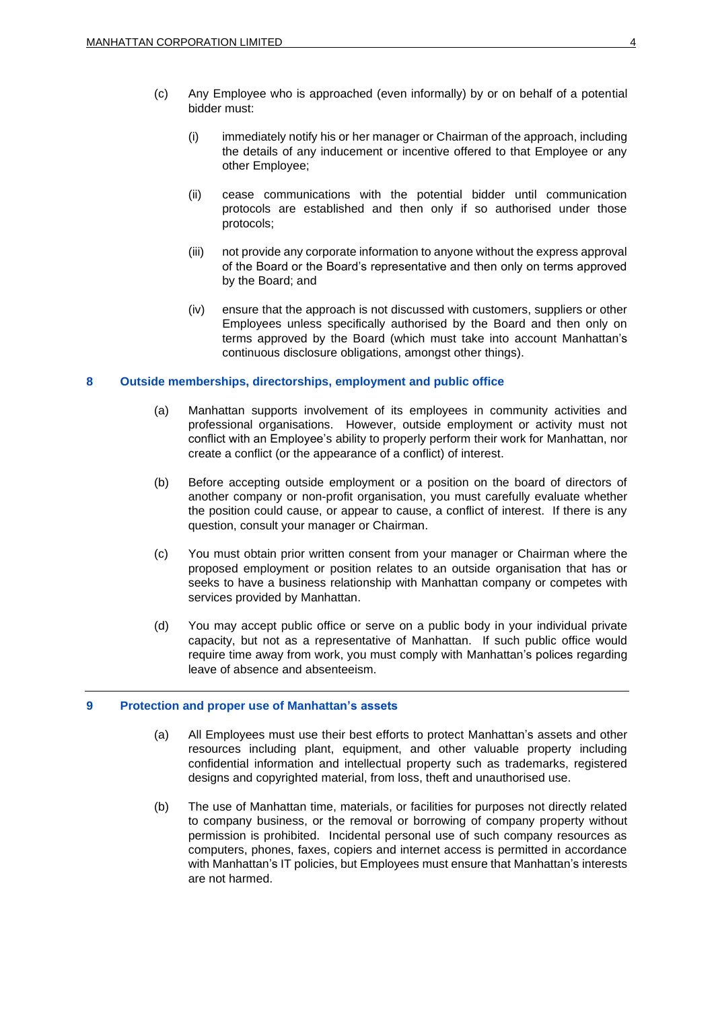- (c) Any Employee who is approached (even informally) by or on behalf of a potential bidder must:
	- (i) immediately notify his or her manager or Chairman of the approach, including the details of any inducement or incentive offered to that Employee or any other Employee;
	- (ii) cease communications with the potential bidder until communication protocols are established and then only if so authorised under those protocols;
	- (iii) not provide any corporate information to anyone without the express approval of the Board or the Board's representative and then only on terms approved by the Board; and
	- (iv) ensure that the approach is not discussed with customers, suppliers or other Employees unless specifically authorised by the Board and then only on terms approved by the Board (which must take into account Manhattan's continuous disclosure obligations, amongst other things).

## **8 Outside memberships, directorships, employment and public office**

- (a) Manhattan supports involvement of its employees in community activities and professional organisations. However, outside employment or activity must not conflict with an Employee's ability to properly perform their work for Manhattan, nor create a conflict (or the appearance of a conflict) of interest.
- (b) Before accepting outside employment or a position on the board of directors of another company or non-profit organisation, you must carefully evaluate whether the position could cause, or appear to cause, a conflict of interest. If there is any question, consult your manager or Chairman.
- (c) You must obtain prior written consent from your manager or Chairman where the proposed employment or position relates to an outside organisation that has or seeks to have a business relationship with Manhattan company or competes with services provided by Manhattan.
- (d) You may accept public office or serve on a public body in your individual private capacity, but not as a representative of Manhattan. If such public office would require time away from work, you must comply with Manhattan's polices regarding leave of absence and absenteeism.

## **9 Protection and proper use of Manhattan's assets**

- (a) All Employees must use their best efforts to protect Manhattan's assets and other resources including plant, equipment, and other valuable property including confidential information and intellectual property such as trademarks, registered designs and copyrighted material, from loss, theft and unauthorised use.
- (b) The use of Manhattan time, materials, or facilities for purposes not directly related to company business, or the removal or borrowing of company property without permission is prohibited. Incidental personal use of such company resources as computers, phones, faxes, copiers and internet access is permitted in accordance with Manhattan's IT policies, but Employees must ensure that Manhattan's interests are not harmed.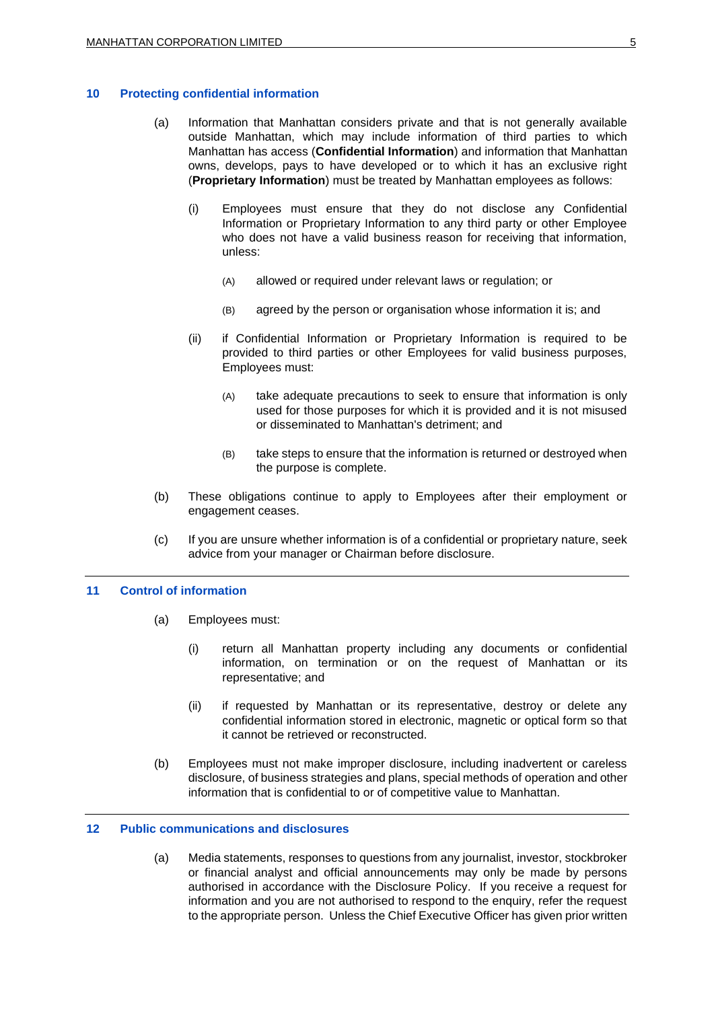# **10 Protecting confidential information**

- (a) Information that Manhattan considers private and that is not generally available outside Manhattan, which may include information of third parties to which Manhattan has access (**Confidential Information**) and information that Manhattan owns, develops, pays to have developed or to which it has an exclusive right (**Proprietary Information**) must be treated by Manhattan employees as follows:
	- (i) Employees must ensure that they do not disclose any Confidential Information or Proprietary Information to any third party or other Employee who does not have a valid business reason for receiving that information, unless:
		- (A) allowed or required under relevant laws or regulation; or
		- (B) agreed by the person or organisation whose information it is; and
	- (ii) if Confidential Information or Proprietary Information is required to be provided to third parties or other Employees for valid business purposes, Employees must:
		- (A) take adequate precautions to seek to ensure that information is only used for those purposes for which it is provided and it is not misused or disseminated to Manhattan's detriment; and
		- (B) take steps to ensure that the information is returned or destroyed when the purpose is complete.
- (b) These obligations continue to apply to Employees after their employment or engagement ceases.
- (c) If you are unsure whether information is of a confidential or proprietary nature, seek advice from your manager or Chairman before disclosure.

# **11 Control of information**

- (a) Employees must:
	- (i) return all Manhattan property including any documents or confidential information, on termination or on the request of Manhattan or its representative; and
	- (ii) if requested by Manhattan or its representative, destroy or delete any confidential information stored in electronic, magnetic or optical form so that it cannot be retrieved or reconstructed.
- (b) Employees must not make improper disclosure, including inadvertent or careless disclosure, of business strategies and plans, special methods of operation and other information that is confidential to or of competitive value to Manhattan.

# **12 Public communications and disclosures**

(a) Media statements, responses to questions from any journalist, investor, stockbroker or financial analyst and official announcements may only be made by persons authorised in accordance with the Disclosure Policy. If you receive a request for information and you are not authorised to respond to the enquiry, refer the request to the appropriate person. Unless the Chief Executive Officer has given prior written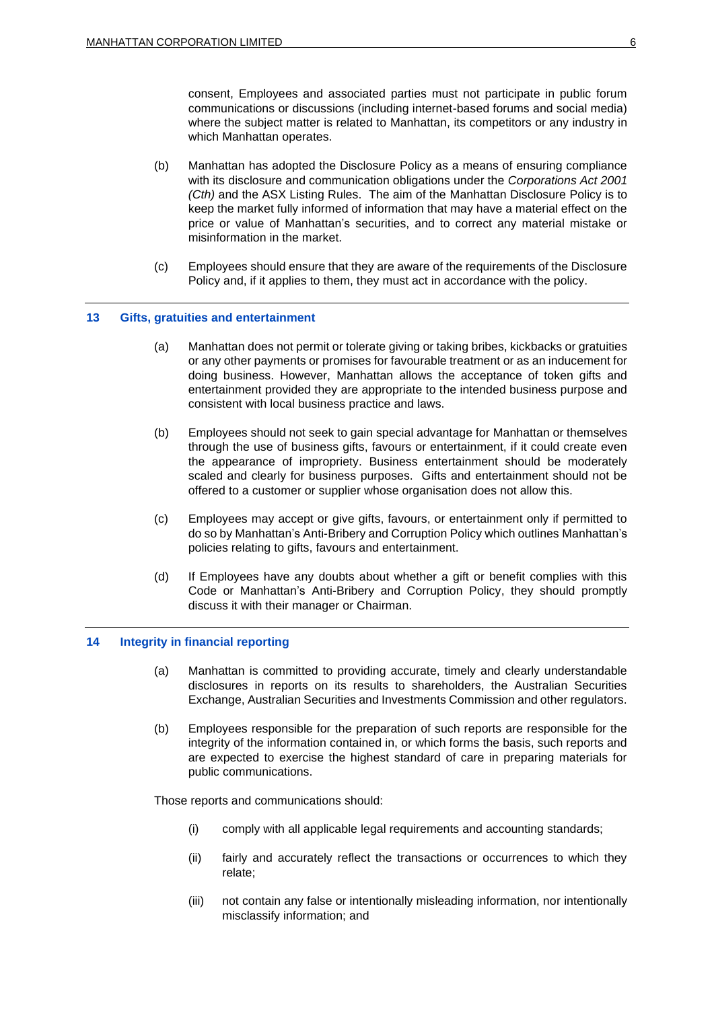consent, Employees and associated parties must not participate in public forum communications or discussions (including internet-based forums and social media) where the subject matter is related to Manhattan, its competitors or any industry in which Manhattan operates.

- (b) Manhattan has adopted the Disclosure Policy as a means of ensuring compliance with its disclosure and communication obligations under the *Corporations Act 2001 (Cth)* and the ASX Listing Rules. The aim of the Manhattan Disclosure Policy is to keep the market fully informed of information that may have a material effect on the price or value of Manhattan's securities, and to correct any material mistake or misinformation in the market.
- (c) Employees should ensure that they are aware of the requirements of the Disclosure Policy and, if it applies to them, they must act in accordance with the policy.

## **13 Gifts, gratuities and entertainment**

- (a) Manhattan does not permit or tolerate giving or taking bribes, kickbacks or gratuities or any other payments or promises for favourable treatment or as an inducement for doing business. However, Manhattan allows the acceptance of token gifts and entertainment provided they are appropriate to the intended business purpose and consistent with local business practice and laws.
- (b) Employees should not seek to gain special advantage for Manhattan or themselves through the use of business gifts, favours or entertainment, if it could create even the appearance of impropriety. Business entertainment should be moderately scaled and clearly for business purposes. Gifts and entertainment should not be offered to a customer or supplier whose organisation does not allow this.
- (c) Employees may accept or give gifts, favours, or entertainment only if permitted to do so by Manhattan's Anti-Bribery and Corruption Policy which outlines Manhattan's policies relating to gifts, favours and entertainment.
- (d) If Employees have any doubts about whether a gift or benefit complies with this Code or Manhattan's Anti-Bribery and Corruption Policy, they should promptly discuss it with their manager or Chairman.

## **14 Integrity in financial reporting**

- (a) Manhattan is committed to providing accurate, timely and clearly understandable disclosures in reports on its results to shareholders, the Australian Securities Exchange, Australian Securities and Investments Commission and other regulators.
- (b) Employees responsible for the preparation of such reports are responsible for the integrity of the information contained in, or which forms the basis, such reports and are expected to exercise the highest standard of care in preparing materials for public communications.

Those reports and communications should:

- (i) comply with all applicable legal requirements and accounting standards;
- (ii) fairly and accurately reflect the transactions or occurrences to which they relate;
- (iii) not contain any false or intentionally misleading information, nor intentionally misclassify information; and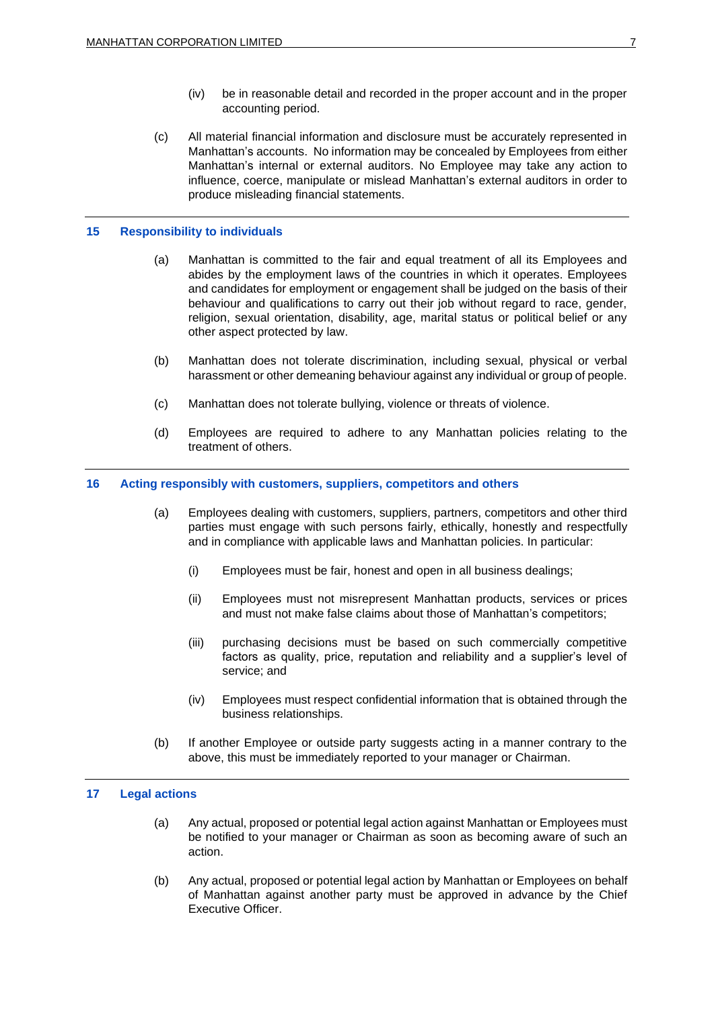- (iv) be in reasonable detail and recorded in the proper account and in the proper accounting period.
- (c) All material financial information and disclosure must be accurately represented in Manhattan's accounts. No information may be concealed by Employees from either Manhattan's internal or external auditors. No Employee may take any action to influence, coerce, manipulate or mislead Manhattan's external auditors in order to produce misleading financial statements.

## **15 Responsibility to individuals**

- (a) Manhattan is committed to the fair and equal treatment of all its Employees and abides by the employment laws of the countries in which it operates. Employees and candidates for employment or engagement shall be judged on the basis of their behaviour and qualifications to carry out their job without regard to race, gender, religion, sexual orientation, disability, age, marital status or political belief or any other aspect protected by law.
- (b) Manhattan does not tolerate discrimination, including sexual, physical or verbal harassment or other demeaning behaviour against any individual or group of people.
- (c) Manhattan does not tolerate bullying, violence or threats of violence.
- (d) Employees are required to adhere to any Manhattan policies relating to the treatment of others.

## **16 Acting responsibly with customers, suppliers, competitors and others**

- (a) Employees dealing with customers, suppliers, partners, competitors and other third parties must engage with such persons fairly, ethically, honestly and respectfully and in compliance with applicable laws and Manhattan policies. In particular:
	- (i) Employees must be fair, honest and open in all business dealings;
	- (ii) Employees must not misrepresent Manhattan products, services or prices and must not make false claims about those of Manhattan's competitors;
	- (iii) purchasing decisions must be based on such commercially competitive factors as quality, price, reputation and reliability and a supplier's level of service; and
	- (iv) Employees must respect confidential information that is obtained through the business relationships.
- (b) If another Employee or outside party suggests acting in a manner contrary to the above, this must be immediately reported to your manager or Chairman.

## **17 Legal actions**

- (a) Any actual, proposed or potential legal action against Manhattan or Employees must be notified to your manager or Chairman as soon as becoming aware of such an action.
- (b) Any actual, proposed or potential legal action by Manhattan or Employees on behalf of Manhattan against another party must be approved in advance by the Chief Executive Officer.